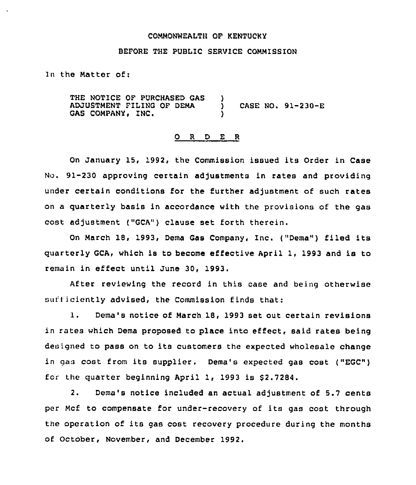## COMMONWEALTH OF KENTUCRY

## BEFORE THE PUBLIC SERVICE COMMISSION

In the Matter of:

THE NOTICE OF PURCHASED GAS ADJUSTMENT FILING OF DEMA GAS COMPANY, INC. ) ) CASE NO. 91-230-E )

## 0 <sup>R</sup> <sup>D</sup> E <sup>R</sup>

On January 15, 1992, the Commission issued its Order in Case No. 91-230 approving certain adjustments in rates and providing under certain conditions for the further adjustment of such rates on a quarterly basis in accordance with the provisions of the gas cost adjustment ("GCA") clause set forth therein.

On March 18, 1993, Dema Gas Company, Inc. ("Dema") filed its quarterly GCA, which is to become effective April I, 1993 and is to remain in effect until June 30, 1993.

After reviewing the record in this case and being otherwise sufficiently advised, the Commission finds that:

i. Dema's notice of March 1B, <sup>1993</sup> set out certain revisions in rates which Dema proposed to place into effect, said rates being designed to pass on to its customers the expected wholesale change in gas cost from its supplier. Dema's expected gas cost ("EGC") for the quarter beginning April 1, 1993 is \$2.7284.

2. Deme's notice included an actual adjustment of 5.7 cents per Mcf to compensate for under-recovery of its gas cost through the operation of its gas cost recovery procedure during the months of October, November, and December 1992.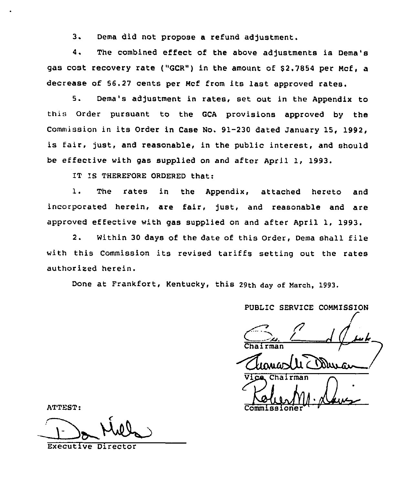3. Deme did not propose a refund adjustment.

4. The combined effect of the above adjustments ia Dema's gas cost recovery rate ("GCR") in the amount of \$2.7854 per Mcf. a decrease of 56.27 cents per Ncf from its last approved rates.

5. Dema's adjustment in rates, set out in the Appendix to this Order pursuant to the GCA provisions approved by the Commission in its Order in Case No. 91-230 dated January 15, 1992, is fair, just, and reasonable, in the public interest, and should be effective with gas supplied on and after April 1, 1993.

IT IS THEREFORE ORDERED that:

1. The rates in the Appendix, attached hereto and incorporated herein, are fair, just, and reasonable and are approved effective with gas supplied on and after April 1, 1993.

2. Within <sup>30</sup> days of the date of this Order, Dema shall file with this Commission its revised tariffs setting out the rates authorised herein.

Done at Frankfort, Kentucky, this 29th day af March, 1993

PUBLIC SERVICE COMMISSION

 $\frac{2}{\sqrt{2}}$ Chairman Cleanas UL CDure

Commissioner '

ATTEST:

Executive Director